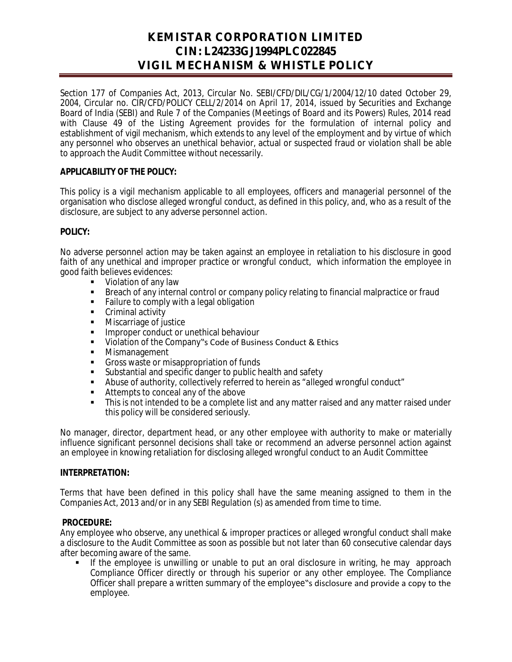# **KEMISTAR CORPORATION LIMITED CIN: L24233GJ1994PLC022845 VIGIL MECHANISM & WHISTLE POLICY**

Section 177 of Companies Act, 2013, Circular No. SEBI/CFD/DIL/CG/1/2004/12/10 dated October 29, 2004, Circular no. CIR/CFD/POLICY CELL/2/2014 on April 17, 2014, issued by Securities and Exchange Board of India (SEBI) and Rule 7 of the Companies (Meetings of Board and its Powers) Rules, 2014 read with Clause 49 of the Listing Agreement provides for the formulation of internal policy and establishment of vigil mechanism, which extends to any level of the employment and by virtue of which any personnel who observes an unethical behavior, actual or suspected fraud or violation shall be able to approach the Audit Committee without necessarily.

## **APPLICABILITY OF THE POLICY:**

This policy is a vigil mechanism applicable to all employees, officers and managerial personnel of the organisation who disclose alleged wrongful conduct, as defined in this policy, and, who as a result of the disclosure, are subject to any adverse personnel action.

## **POLICY:**

No adverse personnel action may be taken against an employee in retaliation to his disclosure in good faith of any unethical and improper practice or wrongful conduct, which information the employee in good faith believes evidences:

- Violation of any law
- Breach of any internal control or company policy relating to financial malpractice or fraud
- Failure to comply with a legal obligation<br>Fig. Criminal activity
- Criminal activity<br>• Miscarriage of in
- Miscarriage of justice
- **IMPROPER CONDUCT OF UNCHICAL DEPAYSION**
- **UI** Violation of the Company "s Code of Business Conduct & Ethics
- **Mismanagement**
- Gross waste or misappropriation of funds
- Substantial and specific danger to public health and safety
- Abuse of authority, collectively referred to herein as "alleged wrongful conduct"
- **Attempts to conceal any of the above**
- This is not intended to be a complete list and any matter raised and any matter raised under this policy will be considered seriously.

No manager, director, department head, or any other employee with authority to make or materially influence significant personnel decisions shall take or recommend an adverse personnel action against an employee in knowing retaliation for disclosing alleged wrongful conduct to an Audit Committee

## **INTERPRETATION:**

Terms that have been defined in this policy shall have the same meaning assigned to them in the Companies Act, 2013 and/or in any SEBI Regulation (s) as amended from time to time.

## **PROCEDURE:**

Any employee who observe, any unethical & improper practices or alleged wrongful conduct shall make a disclosure to the Audit Committee as soon as possible but not later than 60 consecutive calendar days after becoming aware of the same.

 If the employee is unwilling or unable to put an oral disclosure in writing, he may approach Compliance Officer directly or through his superior or any other employee. The Compliance Officer shall prepare a written summary of the employee"s disclosure and provide a copy to the employee.